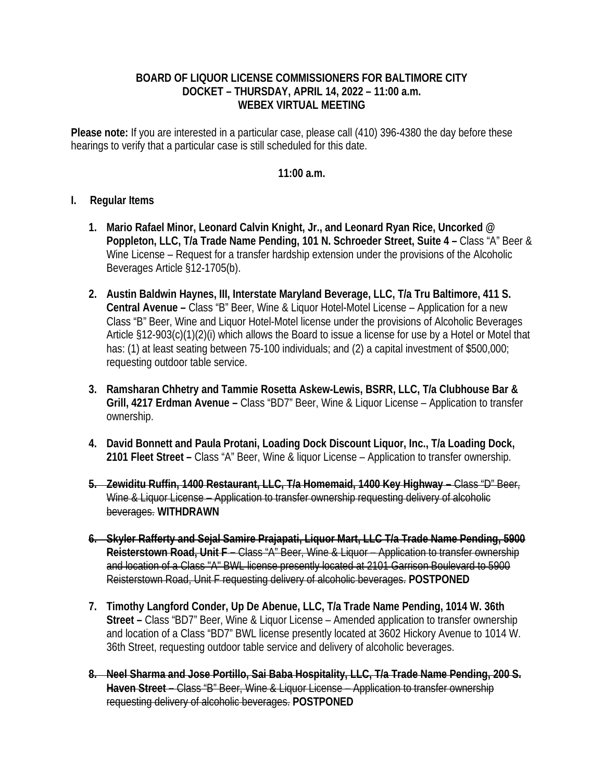## **BOARD OF LIQUOR LICENSE COMMISSIONERS FOR BALTIMORE CITY DOCKET – THURSDAY, APRIL 14, 2022 – 11:00 a.m. WEBEX VIRTUAL MEETING**

**Please note:** If you are interested in a particular case, please call (410) 396-4380 the day before these hearings to verify that a particular case is still scheduled for this date.

## **11:00 a.m.**

## **I. Regular Items**

- **1. Mario Rafael Minor, Leonard Calvin Knight, Jr., and Leonard Ryan Rice, Uncorked @ Poppleton, LLC, T/a Trade Name Pending, 101 N. Schroeder Street, Suite 4 –** Class "A" Beer & Wine License – Request for a transfer hardship extension under the provisions of the Alcoholic Beverages Article §12-1705(b).
- **2. Austin Baldwin Haynes, III, Interstate Maryland Beverage, LLC, T/a Tru Baltimore, 411 S. Central Avenue –** Class "B" Beer, Wine & Liquor Hotel-Motel License – Application for a new Class "B" Beer, Wine and Liquor Hotel-Motel license under the provisions of Alcoholic Beverages Article §12-903(c)(1)(2)(i) which allows the Board to issue a license for use by a Hotel or Motel that has: (1) at least seating between 75-100 individuals; and (2) a capital investment of \$500,000; requesting outdoor table service.
- **3. Ramsharan Chhetry and Tammie Rosetta Askew-Lewis, BSRR, LLC, T/a Clubhouse Bar & Grill, 4217 Erdman Avenue –** Class "BD7" Beer, Wine & Liquor License – Application to transfer ownership.
- **4. David Bonnett and Paula Protani, Loading Dock Discount Liquor, Inc., T/a Loading Dock, 2101 Fleet Street –** Class "A" Beer, Wine & liquor License – Application to transfer ownership.
- **5. Zewiditu Ruffin, 1400 Restaurant, LLC, T/a Homemaid, 1400 Key Highway** Class "D" Beer, Wine & Liquor License – Application to transfer ownership requesting delivery of alcoholic beverages. **WITHDRAWN**
- **6. Skyler Rafferty and Sejal Samire Prajapati, Liquor Mart, LLC T/a Trade Name Pending, 5900 Reisterstown Road, Unit F –** Class "A" Beer, Wine & Liquor – Application to transfer ownership and location of a Class "A" BWL license presently located at 2101 Garrison Boulevard to 5900 Reisterstown Road, Unit F requesting delivery of alcoholic beverages. **POSTPONED**
- **7. Timothy Langford Conder, Up De Abenue, LLC, T/a Trade Name Pending, 1014 W. 36th Street –** Class "BD7" Beer, Wine & Liquor License – Amended application to transfer ownership and location of a Class "BD7" BWL license presently located at 3602 Hickory Avenue to 1014 W. 36th Street, requesting outdoor table service and delivery of alcoholic beverages.
- **8. Neel Sharma and Jose Portillo, Sai Baba Hospitality, LLC, T/a Trade Name Pending, 200 S. Haven Street –** Class "B" Beer, Wine & Liquor License – Application to transfer ownership requesting delivery of alcoholic beverages. **POSTPONED**